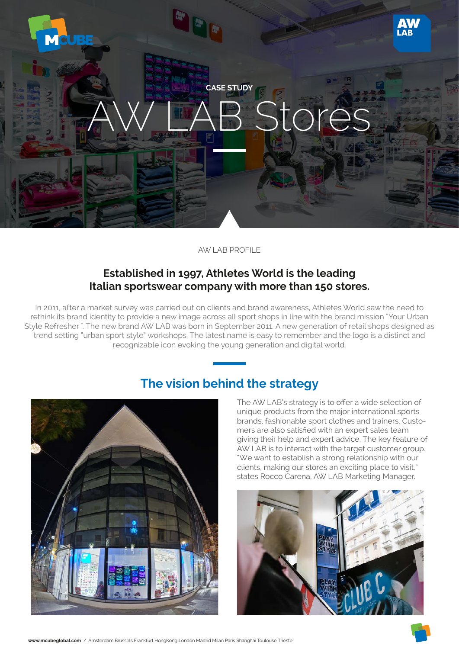

AW LAB PROFILE

### **Established in 1997, Athletes World is the leading Italian sportswear company with more than 150 stores.**

In 2011, after a market survey was carried out on clients and brand awareness, Athletes World saw the need to rethink its brand identity to provide a new image across all sport shops in line with the brand mission "Your Urban Style Refresher". The new brand AW LAB was born in September 2011. A new generation of retail shops designed as trend setting "urban sport style" workshops. The latest name is easy to remember and the logo is a distinct and recognizable icon evoking the young generation and digital world.



## **The vision behind the strategy**

The AW LAB's strategy is to offer a wide selection of unique products from the major international sports brands, fashionable sport clothes and trainers. Customers are also satisfied with an expert sales team giving their help and expert advice. The key feature of AW LAB is to interact with the target customer group. "We want to establish a strong relationship with our clients, making our stores an exciting place to visit," states Rocco Carena, AW LAB Marketing Manager.



**www.mcubeglobal.com** / Amsterdam Brussels Frankfurt HongKong London Madrid Milan Paris Shanghai Toulouse Trieste

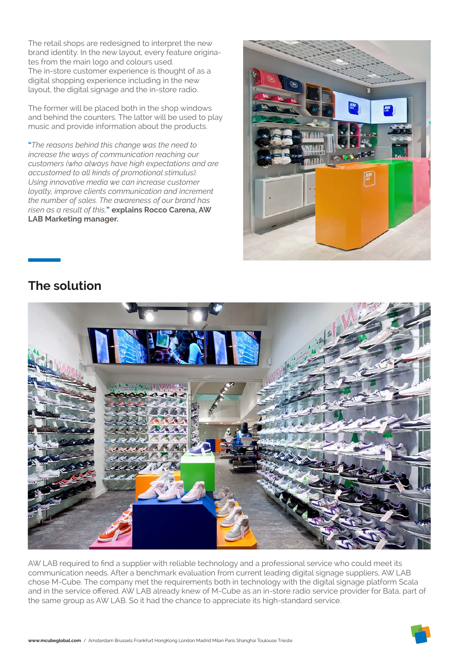The retail shops are redesigned to interpret the new brand identity. In the new layout, every feature originates from the main logo and colours used. The in-store customer experience is thought of as a digital shopping experience including in the new layout, the digital signage and the in-store radio.

The former will be placed both in the shop windows and behind the counters. The latter will be used to play music and provide information about the products.

**"***The reasons behind this change was the need to increase the ways of communication reaching our customers (who always have high expectations and are accustomed to all kinds of promotional stimulus). Using innovative media we can increase customer loyalty, improve clients communication and increment the number of sales. The awareness of our brand has risen as a result of this,***" explains Rocco Carena, AW LAB Marketing manager.**



# **The solution**



AW LAB required to find a supplier with reliable technology and a professional service who could meet its communication needs. After a benchmark evaluation from current leading digital signage suppliers, AW LAB chose M-Cube. The company met the requirements both in technology with the digital signage platform Scala and in the service offered. AW LAB already knew of M-Cube as an in-store radio service provider for Bata, part of the same group as AW LAB. So it had the chance to appreciate its high-standard service.

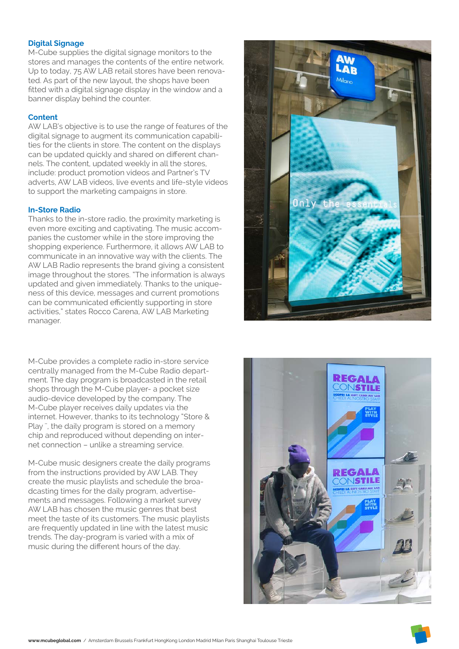### **Digital Signage**

M-Cube supplies the digital signage monitors to the stores and manages the contents of the entire network. Up to today, 75 AW LAB retail stores have been renovated. As part of the new layout, the shops have been fitted with a digital signage display in the window and a banner display behind the counter.

#### **Content**

AW LAB's objective is to use the range of features of the digital signage to augment its communication capabilities for the clients in store. The content on the displays can be updated quickly and shared on different channels. The content, updated weekly in all the stores, include: product promotion videos and Partner's TV adverts, AW LAB videos, live events and life-style videos to support the marketing campaigns in store.

#### **In-Store Radio**

Thanks to the in-store radio, the proximity marketing is even more exciting and captivating. The music accompanies the customer while in the store improving the shopping experience. Furthermore, it allows AW LAB to communicate in an innovative way with the clients. The AW LAB Radio represents the brand giving a consistent image throughout the stores. "The information is always updated and given immediately. Thanks to the uniqueness of this device, messages and current promotions can be communicated efficiently supporting in store activities," states Rocco Carena, AW LAB Marketing manager.

M-Cube provides a complete radio in-store service centrally managed from the M-Cube Radio department. The day program is broadcasted in the retail shops through the M-Cube player- a pocket size audio-device developed by the company. The M-Cube player receives daily updates via the internet. However, thanks to its technology "Store & Play '', the daily program is stored on a memory chip and reproduced without depending on internet connection – unlike a streaming service.

M-Cube music designers create the daily programs from the instructions provided by AW LAB. They create the music playlists and schedule the broadcasting times for the daily program, advertisements and messages. Following a market survey AW LAB has chosen the music genres that best meet the taste of its customers. The music playlists are frequently updated in line with the latest music trends. The day-program is varied with a mix of music during the different hours of the day.